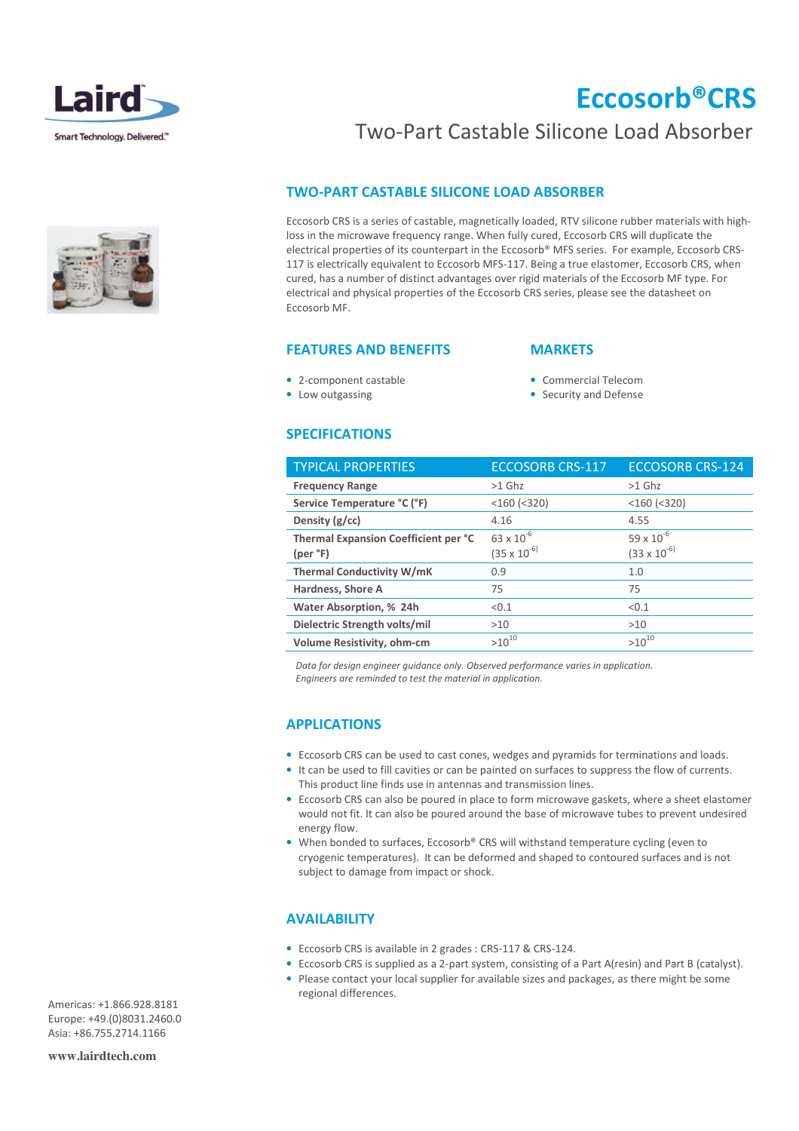



# Eccosorb®CRS

## Two-Part Castable Silicone Load Absorber

### TWO-PART CASTABLE SILICONE LOAD ABSORBER

Eccosorb CRS is a series of castable, magnetically loaded, RTV silicone rubber materials with highloss in the microwave frequency range. When fully cured, Eccosorb CRS will duplicate the electrical properties of its counterpart in the Eccosorb® MFS series. For example, Eccosorb CRS-117 is electrically equivalent to Eccosorb MFS-117. Being a true elastomer, Eccosorb CRS, when cured, has a number of distinct advantages over rigid materials of the Eccosorb MF type. For electrical and physical properties of the Eccosorb CRS series, please see the datasheet on Eccosorb MF.

#### FEATURES AND BENEFITS

### **MARKETS**

• 2-component castable

• Commercial Telecom

• Low outgassing

• Security and Defense

#### SPECIFICATIONS

| <b>TYPICAL PROPERTIES</b>            | <b>ECCOSORB CRS-117</b> | <b>ECCOSORB CRS-124</b> |
|--------------------------------------|-------------------------|-------------------------|
| <b>Frequency Range</b>               | $>1$ Ghz                | $>1$ Ghz                |
| Service Temperature °C (°F)          | $<$ 160 $(<$ 320)       | $<$ 160 $(<$ 320)       |
| Density $(g/cc)$                     | 4.16                    | 4.55                    |
| Thermal Expansion Coefficient per °C | $63 \times 10^{-6}$     | $59 \times 10^{-6}$     |
| (per °F)                             | $(35 \times 10^{-6})$   | $(33 \times 10^{-6})$   |
| <b>Thermal Conductivity W/mK</b>     | 0.9                     | 1.0                     |
| <b>Hardness, Shore A</b>             | 75                      | 75                      |
| Water Absorption, % 24h              | < 0.1                   | < 0.1                   |
| Dielectric Strength volts/mil        | >10                     | >10                     |
| Volume Resistivity, ohm-cm           | $>10^{10}$              | $>10^{10}$              |

 Data for design engineer guidance only. Observed performance varies in application. Engineers are reminded to test the material in application.

### APPLICATIONS

- Eccosorb CRS can be used to cast cones, wedges and pyramids for terminations and loads.
- It can be used to fill cavities or can be painted on surfaces to suppress the flow of currents. This product line finds use in antennas and transmission lines.
- Eccosorb CRS can also be poured in place to form microwave gaskets, where a sheet elastomer would not fit. It can also be poured around the base of microwave tubes to prevent undesired energy flow.
- When bonded to surfaces, Eccosorb® CRS will withstand temperature cycling (even to cryogenic temperatures). It can be deformed and shaped to contoured surfaces and is not subject to damage from impact or shock.

#### **AVAILABILITY**

- Eccosorb CRS is available in 2 grades : CRS-117 & CRS-124.
- Eccosorb CRS is supplied as a 2-part system, consisting of a Part A(resin) and Part B (catalyst).
- Please contact your local supplier for available sizes and packages, as there might be some regional differences.

Americas: +1.866.928.8181 Europe: +49.(0)8031.2460.0 Asia: +86.755.2714.1166

**www.lairdtech.com**